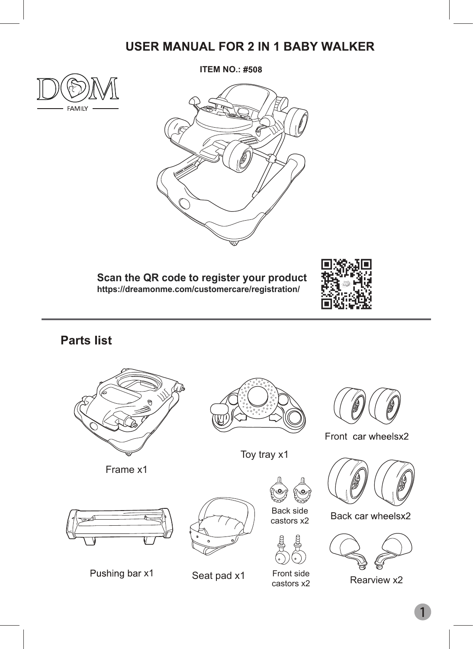## **USER MANUAL FOR 2 IN 1 BABY WALKER**



**ITEM NO.: #508** 



**Scan the QR code to register your product https://dreamonme.com/customercare/registration/**



#### **Parts**



Frame x1



Toy tray x1



Front car wheelsx2



**Back car wheelsx2** 



Rearview x2



x1 Seat pad x1 Front side







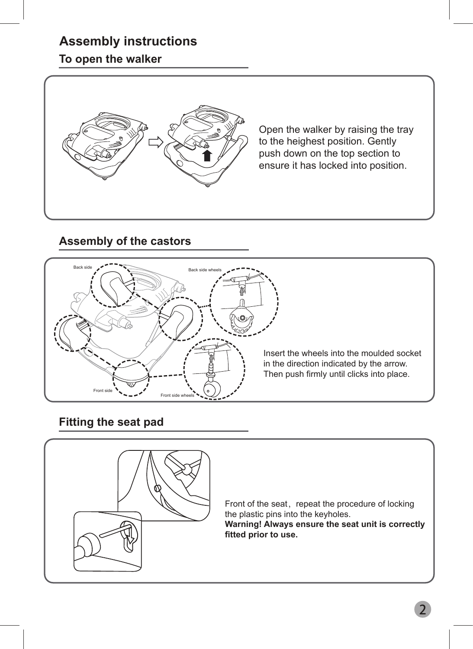## **Assembly instructions**

#### **To open the walker**



Open the walker by raising the tray to the heighest position. Gently push down on the top section to ensure it has locked into position.

#### **Assembly of the castors**



#### **Fitting the seat pad**

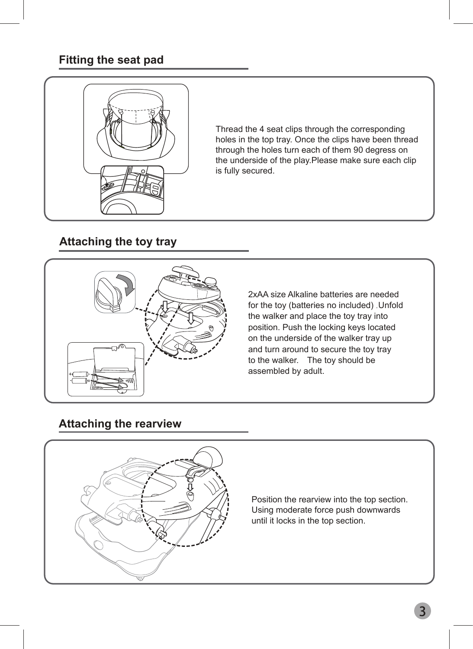#### **Fitting the seat pad**



Thread the 4 seat clips through the corresponding holes in the top tray. Once the clips have been thread through the holes turn each of them 90 degress on the underside of the play.Please make sure each clip is fully secured.

#### **Attaching the toy tray**



2xAA size Alkaline batteries are needed for the toy (batteries no included) .Unfold the walker and place the toy tray into position. Push the locking keys located on the underside of the walker tray up and turn around to secure the toy tray to the walker. The toy should be assembled by adult.

#### **Attaching the rearview**



Position the rearview into the top section. Using moderate force push downwards until it locks in the top section.

3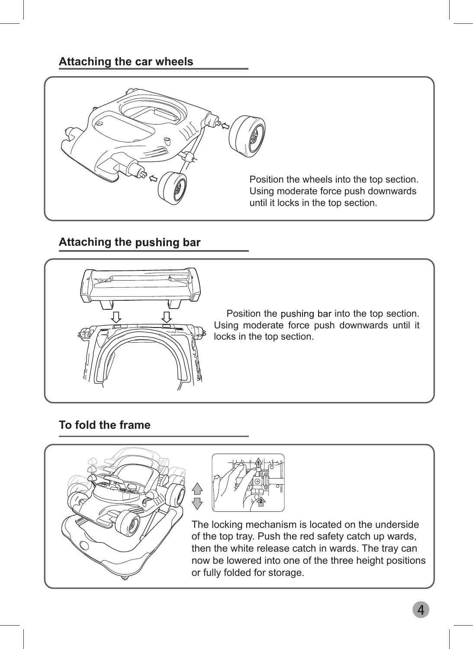#### **Attaching the car wheels**



#### **Attaching the pushing bar**



Position the pushing bar into the top section. Using moderate force push downwards until it locks in the top section.

#### **To fold the frame**





The locking mechanism is located on the underside of the top tray. Push the red safety catch up wards, then the white release catch in wards. The tray can now be lowered into one of the three height positions or fully folded for storage.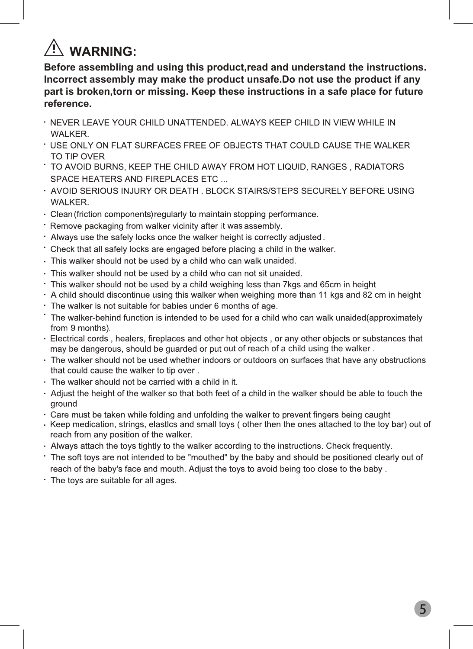# $\overline{\mathbb{T}}$  WARNING:

**Before assembling and using this product,read and understand the instructions. Incorrect assembly may make the product unsafe.Do not use the product if any part is broken,torn or missing. Keep these instructions in a safe place for future reference.**

- · NEVER LEAVE YOUR CHILD UNATTENDED. ALWAYS KEEP CHILD IN VIEW WHILE IN **WALKER.**
- \* USE ONLY ON FLAT SURFACES FREE OF OBJECTS THAT COULD CAUSE THE WALKER TO TIP OVER
- TO AVOID BURNS, KEEP THE CHILD AWAY FROM HOT LIQUID, RANGES, RADIATORS SPACE HEATERS AND FIREPLACES ETC ...
- · AVOID SERIOUS INJURY OR DEATH . BLOCK STAIRS/STEPS SECURELY BEFORE USING **WALKER.**
- · Clean (friction components) regularly to maintain stopping performance.
- \* Remove packaging from walker vicinity after it was assembly.
- . Always use the safely locks once the walker height is correctly adjusted.
- Check that all safely locks are engaged before placing a child in the walker.
- . This walker should not be used by a child who can walk unaided.
- · This walker should not be used by a child who can not sit unaided.
- . This walker should not be used by a child weighing less than 7kgs and 65cm in height
- · A child should discontinue using this walker when weighing more than 11 kgs and 82 cm in height
- . The walker is not suitable for babies under 6 months of age.
- The walker-behind function is intended to be used for a child who can walk unaided(approximately from 9 months)
- · Electrical cords, healers, fireplaces and other hot objects, or any other objects or substances that may be dangerous, should be guarded or put out of reach of a child using the walker.
- The walker should not be used whether indoors or outdoors on surfaces that have any obstructions that could cause the walker to tip over.
- · The walker should not be carried with a child in it.
- . Adjust the height of the walker so that both feet of a child in the walker should be able to touch the ground.
- · Care must be taken while folding and unfolding the walker to prevent fingers being caught
- Keep medication, strings, elastics and small toys (other then the ones attached to the toy bar) out of reach from any position of the walker.
- · Always attach the toys tightly to the walker according to the instructions. Check frequently.
- \* The soft toys are not intended to be "mouthed" by the baby and should be positioned clearly out of reach of the baby's face and mouth. Adjust the toys to avoid being too close to the baby.
- . The toys are suitable for all ages.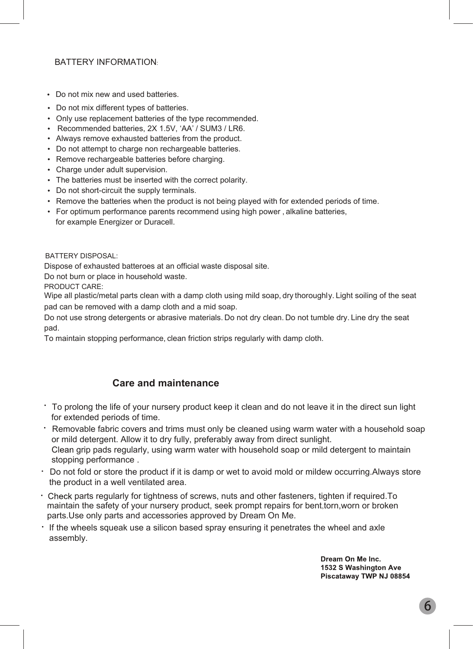#### BATTERY INFORMATION:

- Do not mix new and used batteries.
- Do not mix different types of batteries.
- Only use replacement batteries of the type recommended.
- Recommended batteries, 2X 1.5V, 'AA' / SUM3 / LR6.
- Always remove exhausted batteries from the product.
- Do not attempt to charge non rechargeable batteries.
- Remove rechargeable batteries before charging.
- Charge under adult supervision.
- The batteries must be inserted with the correct polarity.
- Do not short-circuit the supply terminals.
- Remove the batteries when the product is not being played with for extended periods of time.
- For optimum performance parents recommend using high power , alkaline batteries, for example Energizer or Duracell.

BATTERY DISPOSAL:

Dispose of exhausted batteroes at an official waste disposal site.

Do not burn or place in household waste.

PRODUCT CARE:

Wipe all plastic/metal parts clean with a damp cloth using mild soap, dry thoroughly. Light soiling of the seat pad can be removed with a damp cloth and a mid soap.

Do not use strong detergents or abrasive materials. Do not dry clean. Do not tumble dry. Line dry the seat pad.

To maintain stopping performance, clean friction strips regularly with damp cloth.

#### **Care and maintenance**

- To prolong the life of your nursery product keep it clean and do not leave it in the direct sun light for extended periods of time.
- Removable fabric covers and trims must only be cleaned using warm water with a household soap or mild detergent. Allow it to dry fully, preferably away from direct sunlight. Clean grip pads regularly, using warm water with household soap or mild detergent to maintain stopping performance .
- Do not fold or store the product if it is damp or wet to avoid mold or mildew occurring.Always store the product in a well ventilated area.
- Check parts regularly for tightness of screws, nuts and other fasteners, tighten if required.To maintain the safety of your nursery product, seek prompt repairs for bent,torn,worn or broken parts.Use only parts and accessories approved by Dream On Me.
- If the wheels squeak use a silicon based spray ensuring it penetrates the wheel and axle assembly.

Dream On Me Inc. 1532 S Washington Ave Piscataway TWP NJ 08854